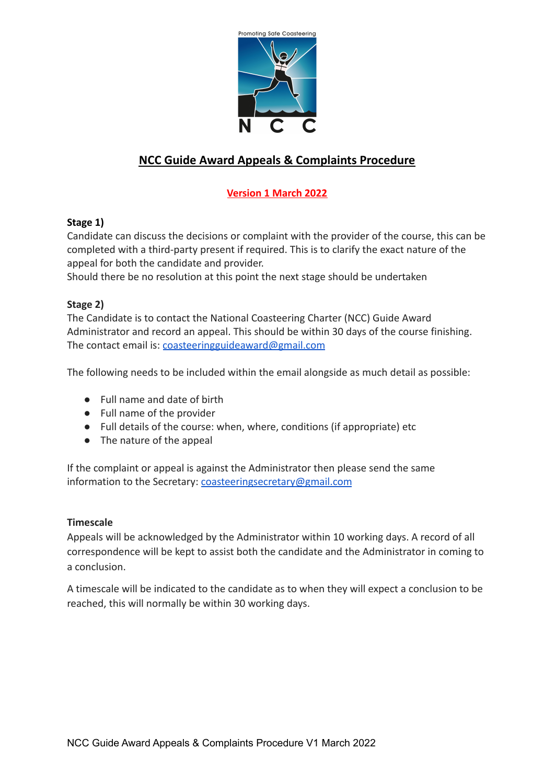

# **NCC Guide Award Appeals & Complaints Procedure**

## **Version 1 March 2022**

### **Stage 1)**

Candidate can discuss the decisions or complaint with the provider of the course, this can be completed with a third-party present if required. This is to clarify the exact nature of the appeal for both the candidate and provider.

Should there be no resolution at this point the next stage should be undertaken

### **Stage 2)**

The Candidate is to contact the National Coasteering Charter (NCC) Guide Award Administrator and record an appeal. This should be within 30 days of the course finishing. The contact email is: [coasteeringguideaward@gmail.com](mailto:coasteeringguideaward@gmail.com)

The following needs to be included within the email alongside as much detail as possible:

- Full name and date of birth
- Full name of the provider
- Full details of the course: when, where, conditions (if appropriate) etc
- The nature of the appeal

If the complaint or appeal is against the Administrator then please send the same information to the Secretary: [coasteeringsecretary@gmail.com](mailto:coasteeringsecretary@gmail.com)

#### **Timescale**

Appeals will be acknowledged by the Administrator within 10 working days. A record of all correspondence will be kept to assist both the candidate and the Administrator in coming to a conclusion.

A timescale will be indicated to the candidate as to when they will expect a conclusion to be reached, this will normally be within 30 working days.